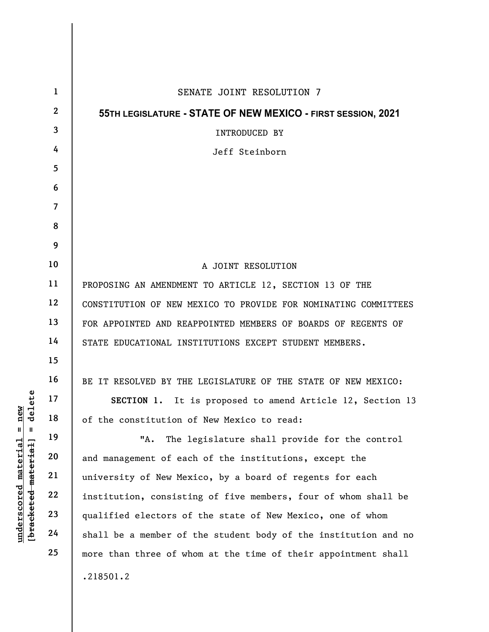|                                                                                                                   | $\mathbf{1}$            | SENATE JOINT RESOLUTION 7                                       |
|-------------------------------------------------------------------------------------------------------------------|-------------------------|-----------------------------------------------------------------|
|                                                                                                                   | $\mathbf{2}$            | 55TH LEGISLATURE - STATE OF NEW MEXICO - FIRST SESSION, 2021    |
|                                                                                                                   | $\overline{\mathbf{3}}$ | <b>INTRODUCED BY</b>                                            |
|                                                                                                                   | 4                       | Jeff Steinborn                                                  |
|                                                                                                                   | 5                       |                                                                 |
|                                                                                                                   | 6                       |                                                                 |
|                                                                                                                   | $\overline{\mathbf{7}}$ |                                                                 |
|                                                                                                                   | 8                       |                                                                 |
|                                                                                                                   | 9                       |                                                                 |
|                                                                                                                   | 10                      | A JOINT RESOLUTION                                              |
|                                                                                                                   | 11                      | PROPOSING AN AMENDMENT TO ARTICLE 12, SECTION 13 OF THE         |
| ete<br>new<br>del<br>$\mathbf{e}$<br>$\mathbf{I}$<br>$\mathbf{I}$<br>underscored material<br>[bracketed material] | 12                      | CONSTITUTION OF NEW MEXICO TO PROVIDE FOR NOMINATING COMMITTEES |
|                                                                                                                   | 13                      | FOR APPOINTED AND REAPPOINTED MEMBERS OF BOARDS OF REGENTS OF   |
|                                                                                                                   | 14                      | STATE EDUCATIONAL INSTITUTIONS EXCEPT STUDENT MEMBERS.          |
|                                                                                                                   | 15                      |                                                                 |
|                                                                                                                   | 16                      | BE IT RESOLVED BY THE LEGISLATURE OF THE STATE OF NEW MEXICO:   |
|                                                                                                                   | 17                      | SECTION 1. It is proposed to amend Article 12, Section 13       |
|                                                                                                                   | 18                      | of the constitution of New Mexico to read:                      |
|                                                                                                                   | 19                      | The legislature shall provide for the control<br>"A.            |
|                                                                                                                   | 20                      | and management of each of the institutions, except the          |
|                                                                                                                   | 21                      | university of New Mexico, by a board of regents for each        |
|                                                                                                                   | 22                      | institution, consisting of five members, four of whom shall be  |
|                                                                                                                   | 23                      | qualified electors of the state of New Mexico, one of whom      |
|                                                                                                                   | 24                      | shall be a member of the student body of the institution and no |
|                                                                                                                   | 25                      | more than three of whom at the time of their appointment shall  |
|                                                                                                                   |                         | .218501.2                                                       |
|                                                                                                                   |                         |                                                                 |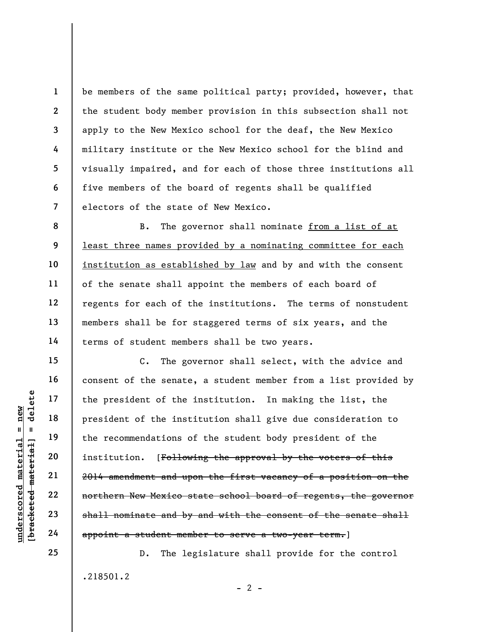be members of the same political party; provided, however, that the student body member provision in this subsection shall not apply to the New Mexico school for the deaf, the New Mexico military institute or the New Mexico school for the blind and visually impaired, and for each of those three institutions all five members of the board of regents shall be qualified electors of the state of New Mexico.

B. The governor shall nominate from a list of at least three names provided by a nominating committee for each institution as established by law and by and with the consent of the senate shall appoint the members of each board of regents for each of the institutions. The terms of nonstudent members shall be for staggered terms of six years, and the terms of student members shall be two years.

underscored material = new [bracketed material] = delete C. The governor shall select, with the advice and consent of the senate, a student member from a list provided by the president of the institution. In making the list, the president of the institution shall give due consideration to the recommendations of the student body president of the institution. [Following the approval by the voters of this 2014 amendment and upon the first vacancy of a position on the northern New Mexico state school board of regents, the governor shall nominate and by and with the consent of the senate shall appoint a student member to serve a two-year term.]

> D. The legislature shall provide for the control .218501.2  $- 2 -$

25

1

2

3

4

5

6

7

8

9

10

11

12

13

14

15

16

17

18

19

20

21

22

23

24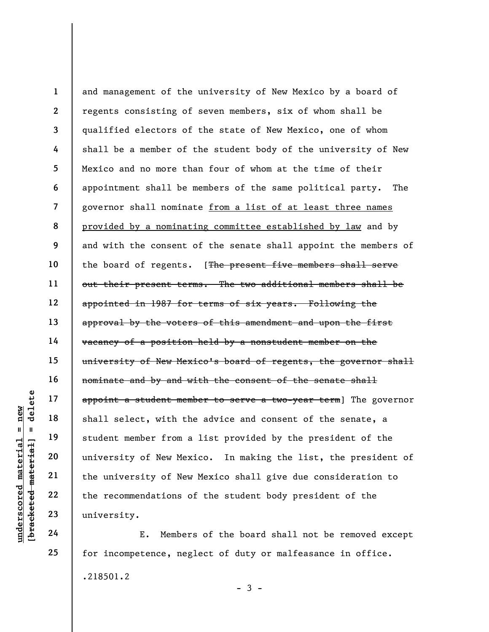understanden material endeavons of New Mex and the University of New Mex 22<br>
university of New Mex 22<br>
university of New Mex the university of New Mex 22<br>
university of New Mex the university of New Mex the necommendations 1 2 3 4 5 6 7 8 9 10 11 12 13 14 15 16 17 18 19 20 21 22 23 and management of the university of New Mexico by a board of regents consisting of seven members, six of whom shall be qualified electors of the state of New Mexico, one of whom shall be a member of the student body of the university of New Mexico and no more than four of whom at the time of their appointment shall be members of the same political party. The governor shall nominate from a list of at least three names provided by a nominating committee established by law and by and with the consent of the senate shall appoint the members of the board of regents. [The present five members shall serve out their present terms. The two additional members shall be appointed in 1987 for terms of six years. Following the approval by the voters of this amendment and upon the first vacancy of a position held by a nonstudent member on the university of New Mexico's board of regents, the governor shall nominate and by and with the consent of the senate shall appoint a student member to serve a two-year term] The governor shall select, with the advice and consent of the senate, a student member from a list provided by the president of the university of New Mexico. In making the list, the president of the university of New Mexico shall give due consideration to the recommendations of the student body president of the university.

E. Members of the board shall not be removed except for incompetence, neglect of duty or malfeasance in office. .218501.2

24

25

 $-3 -$